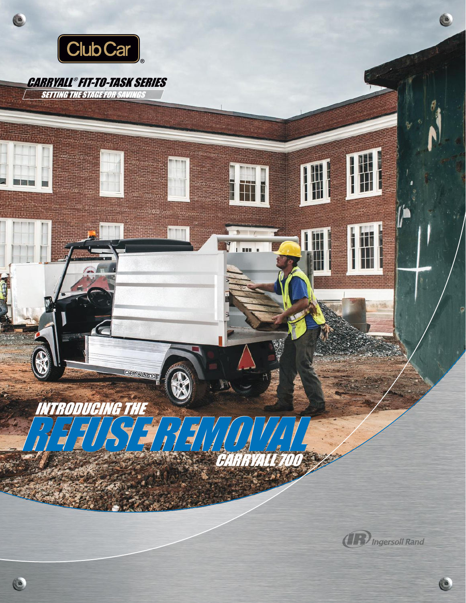

C

#### CARRYALL ® FIT-TO-TASK SERIES**SETTING THE STAGE FOR SAVINGS**

INTRODUCING THE

 $\bullet$ 

REFUSE REMOVAL REFUSE REMOVAL

**CARRYALL 700** 

BARRYALLS

I

m i

**(17)** Ingersoll Rand

 $\bullet$ 

 $\bullet$